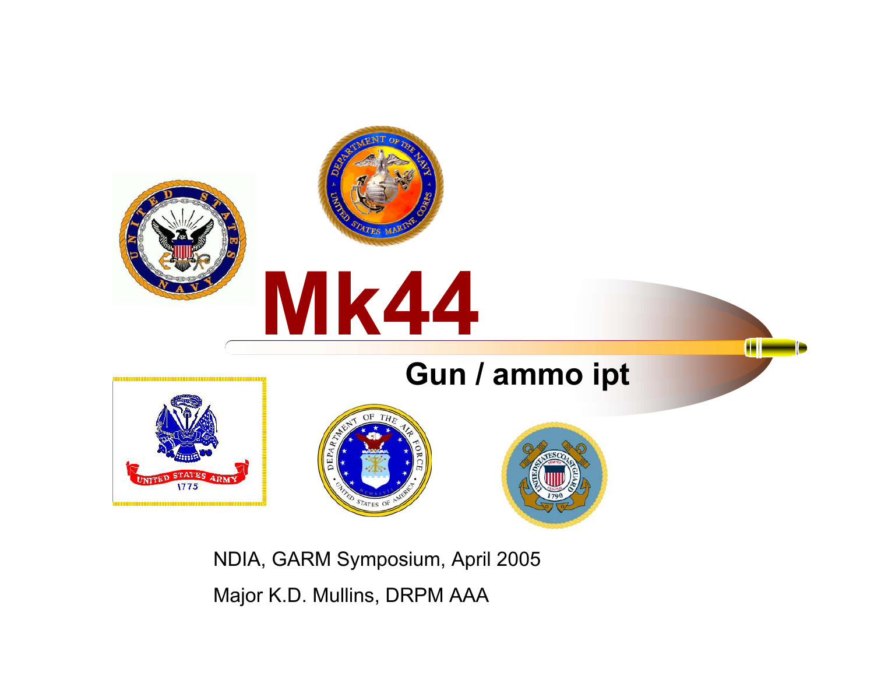

NDIA, GARM Symposium, April 2005 Major K.D. Mullins, DRPM AAA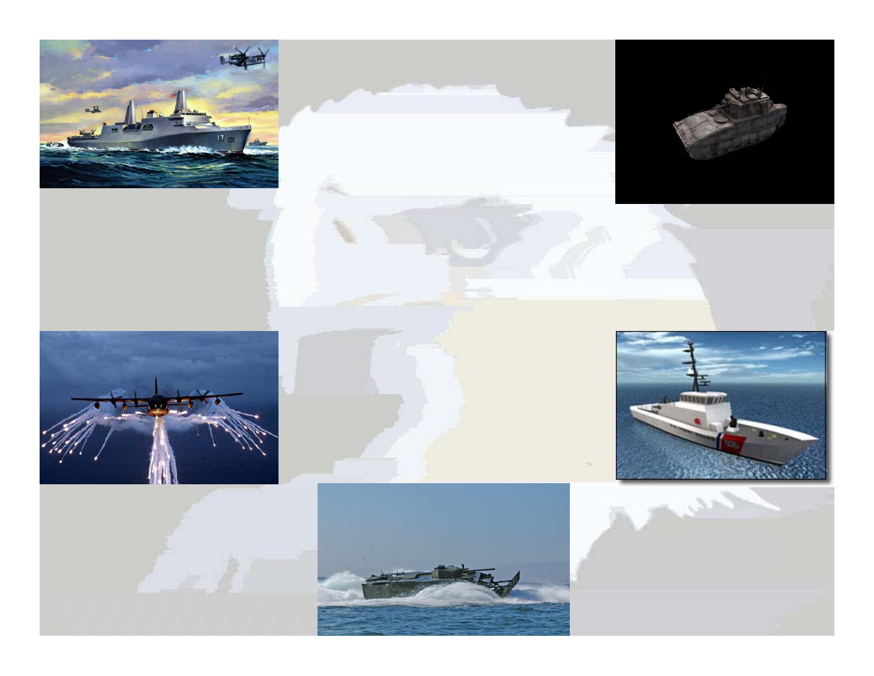







 $\mathcal{C}_{\mathcal{D}}$ 



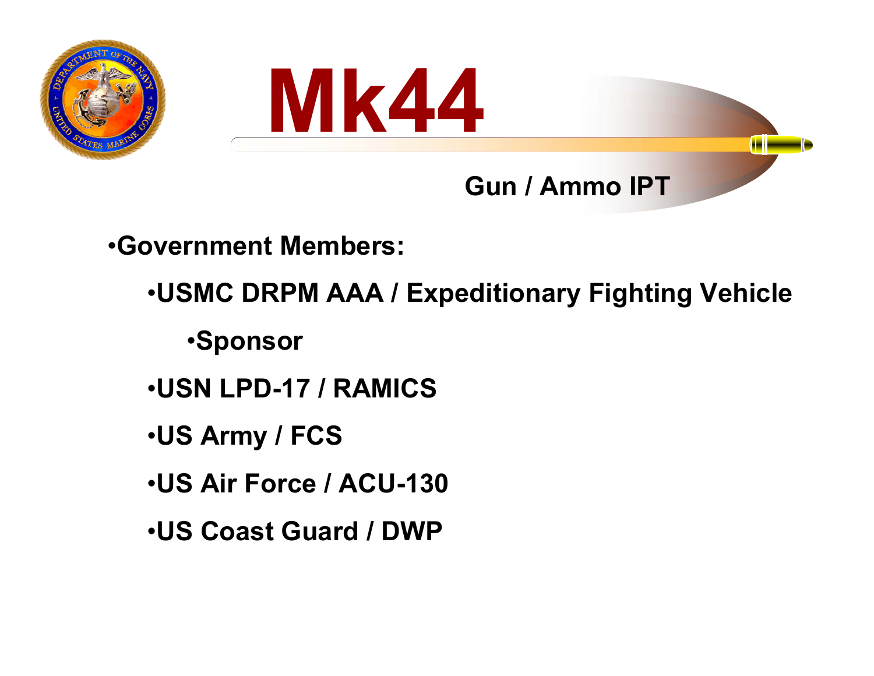



#### •**Government Members:**

•**USMC DRPM AAA / Expeditionary Fighting Vehicle**

•**Sponsor**

•**USN LPD-17 / RAMICS**

•**US Army / FCS**

•**US Air Force / ACU-130**

•**US Coast Guard / DWP**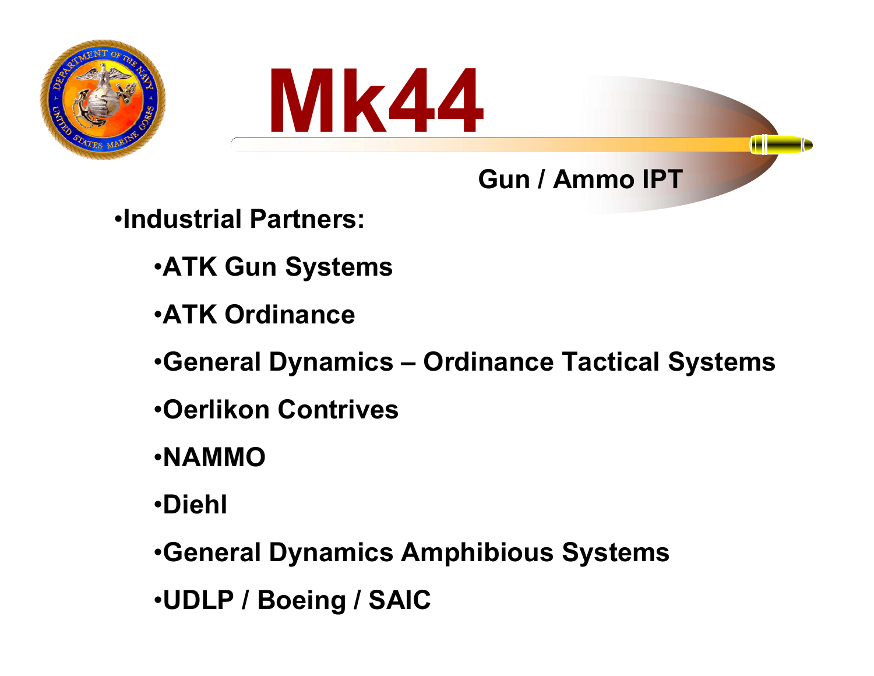



- •**Industrial Partners:**
	- •**ATK Gun Systems**
	- •**ATK Ordinance**
	- •**General Dynamics – Ordinance Tactical Systems**
	- •**Oerlikon Contrives**
	- •**NAMMO**
	- •**Diehl**
	- •**General Dynamics Amphibious Systems**
	- •**UDLP / Boeing / SAIC**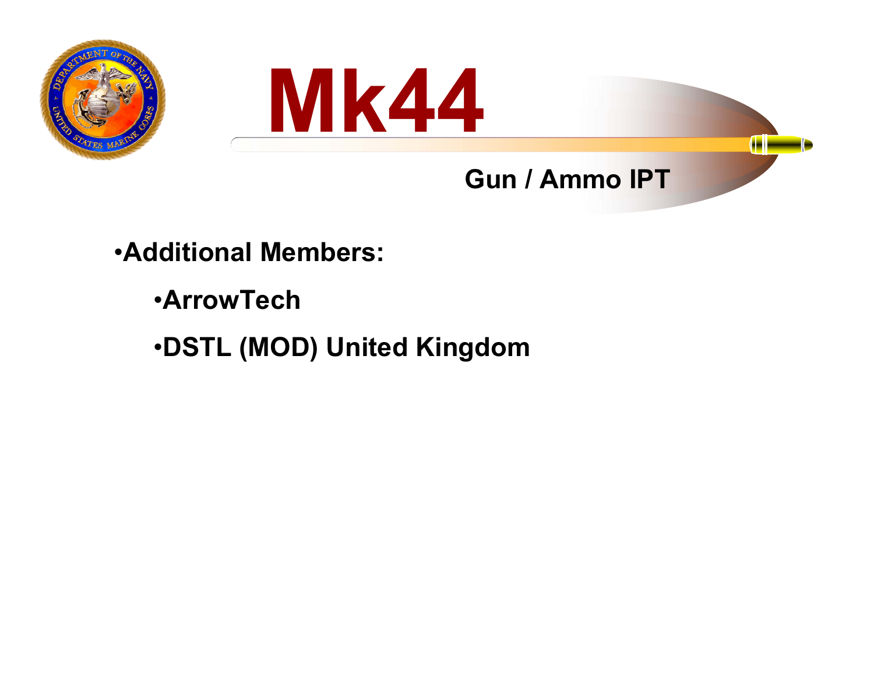



- •**Additional Members:**
	- •**ArrowTech**
	- •**DSTL (MOD) United Kingdom**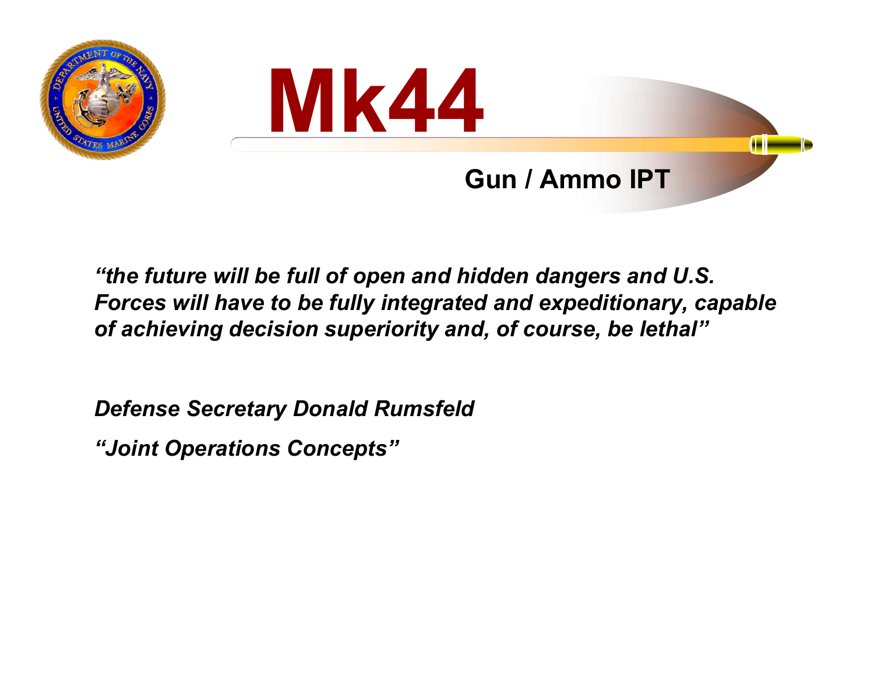



*"the future will be full of open and hidden dangers and U.S. Forces will have to be fully integrated and expeditionary, capable of achieving decision superiority and, of course, be lethal"*

*Defense Secretary Donald Rumsfeld*

*"Joint Operations Concepts"*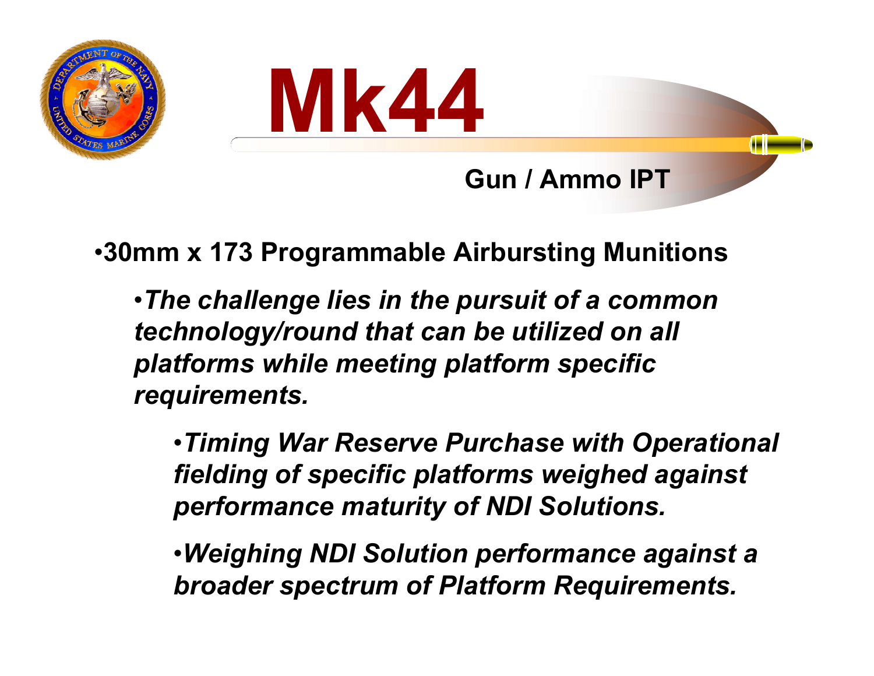



•**30mm x 173 Programmable Airbursting Munitions**

•*The challenge lies in the pursuit of a common technology/round that can be utilized on all platforms while meeting platform specific requirements.*

•*Timing War Reserve Purchase with Operational fielding of specific platforms weighed against performance maturity of NDI Solutions.*

•*Weighing NDI Solution performance against a broader spectrum of Platform Requirements.*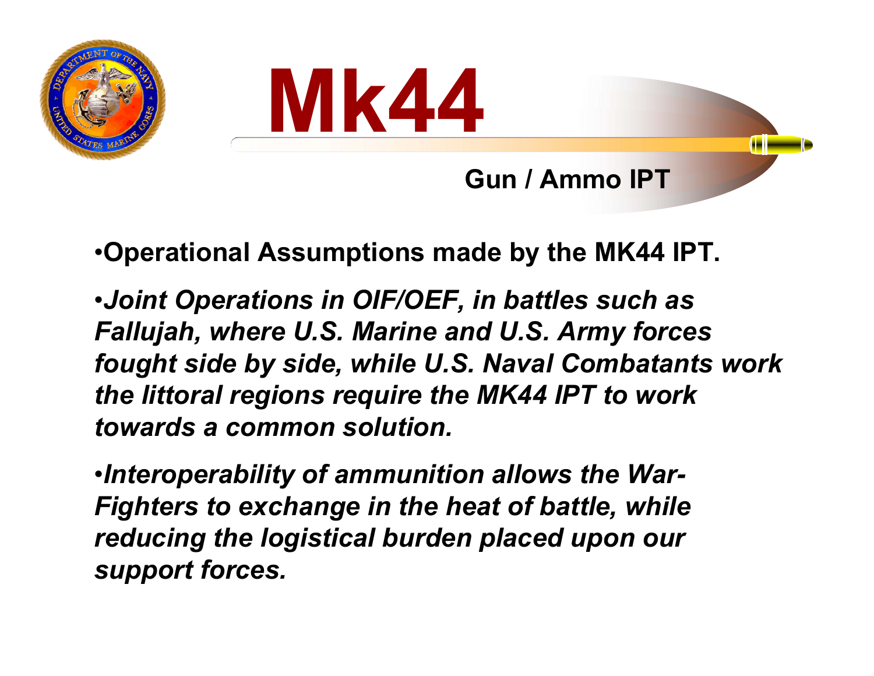



•**Operational Assumptions made by the MK44 IPT.**

•*Joint Operations in OIF/OEF, in battles such as Fallujah, where U.S. Marine and U.S. Army forces fought side by side, while U.S. Naval Combatants work the littoral regions require the MK44 IPT to work towards a common solution.*

•*Interoperability of ammunition allows the War-Fighters to exchange in the heat of battle, while reducing the logistical burden placed upon our support forces.*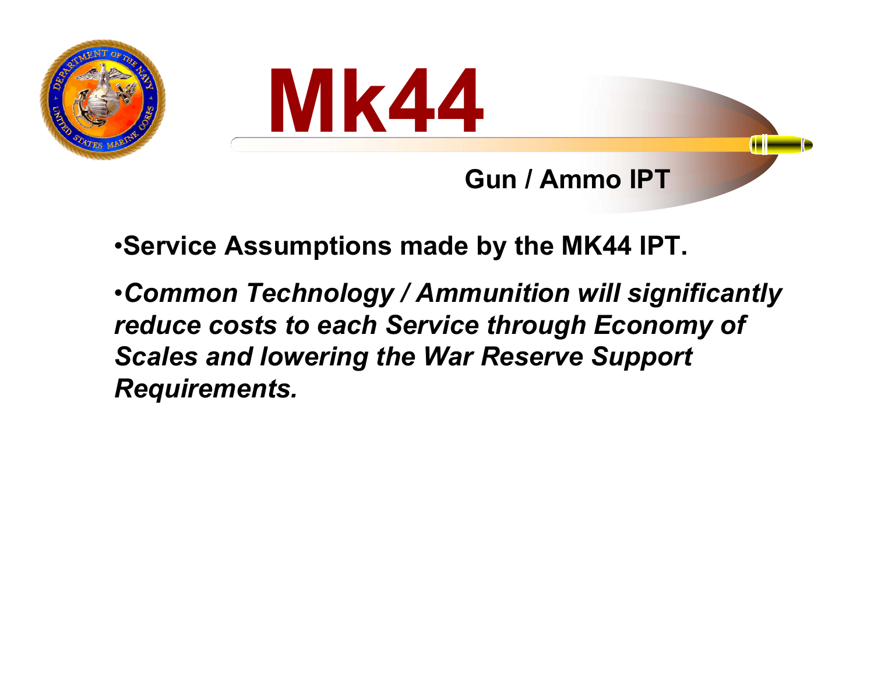



•**Service Assumptions made by the MK44 IPT.**

•*Common Technology / Ammunition will significantly reduce costs to each Service through Economy of Scales and lowering the War Reserve Support Requirements.*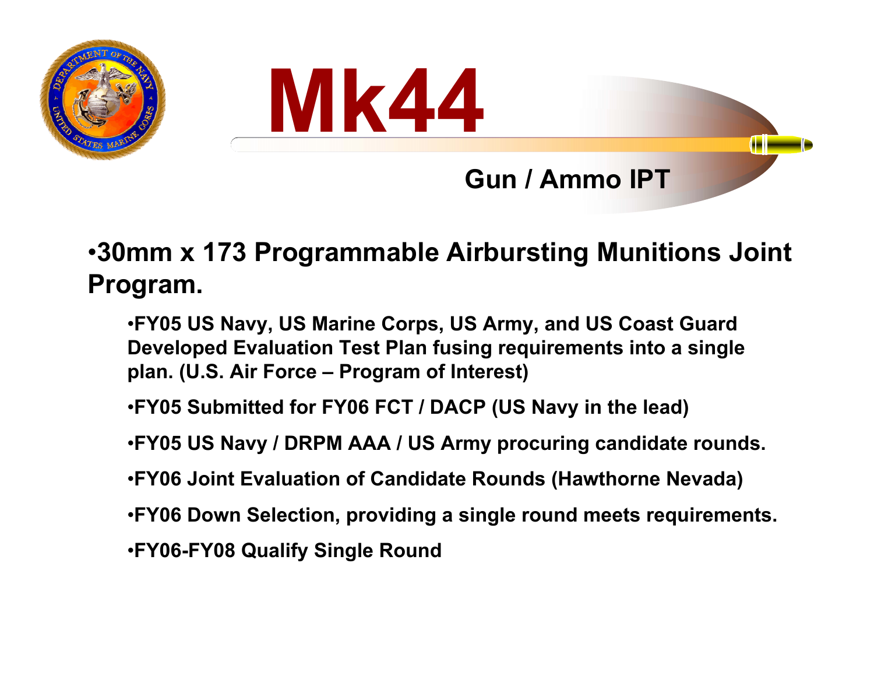



### •**30mm x 173 Programmable Airbursting Munitions Joint Program.**

- •**FY05 US Navy, US Marine Corps, US Army, and US Coast Guard Developed Evaluation Test Plan fusing requirements into a single plan. (U.S. Air Force – Program of Interest)**
- •**FY05 Submitted for FY06 FCT / DACP (US Navy in the lead)**
- •**FY05 US Navy / DRPM AAA / US Army procuring candidate rounds.**
- •**FY06 Joint Evaluation of Candidate Rounds (Hawthorne Nevada)**
- •**FY06 Down Selection, providing a single round meets requirements.**
- •**FY06-FY08 Qualify Single Round**